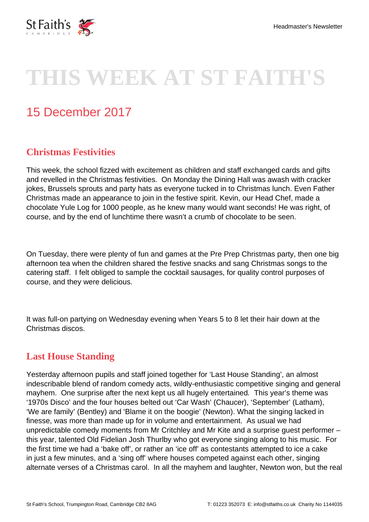

# **THIS WEEK AT ST FAITH'S**

# 15 December 2017

# **Christmas Festivities**

This week, the school fizzed with excitement as children and staff exchanged cards and gifts and revelled in the Christmas festivities. On Monday the Dining Hall was awash with cracker jokes, Brussels sprouts and party hats as everyone tucked in to Christmas lunch. Even Father Christmas made an appearance to join in the festive spirit. Kevin, our Head Chef, made a chocolate Yule Log for 1000 people, as he knew many would want seconds! He was right, of course, and by the end of lunchtime there wasn't a crumb of chocolate to be seen.

On Tuesday, there were plenty of fun and games at the Pre Prep Christmas party, then one big afternoon tea when the children shared the festive snacks and sang Christmas songs to the catering staff. I felt obliged to sample the cocktail sausages, for quality control purposes of course, and they were delicious.

It was full-on partying on Wednesday evening when Years 5 to 8 let their hair down at the Christmas discos.

#### **Last House Standing**

Yesterday afternoon pupils and staff joined together for 'Last House Standing', an almost indescribable blend of random comedy acts, wildly-enthusiastic competitive singing and general mayhem. One surprise after the next kept us all hugely entertained. This year's theme was '1970s Disco' and the four houses belted out 'Car Wash' (Chaucer), 'September' (Latham), 'We are family' (Bentley) and 'Blame it on the boogie' (Newton). What the singing lacked in finesse, was more than made up for in volume and entertainment. As usual we had unpredictable comedy moments from Mr Critchley and Mr Kite and a surprise guest performer – this year, talented Old Fidelian Josh Thurlby who got everyone singing along to his music. For the first time we had a 'bake off', or rather an 'ice off' as contestants attempted to ice a cake in just a few minutes, and a 'sing off' where houses competed against each other, singing alternate verses of a Christmas carol. In all the mayhem and laughter, Newton won, but the real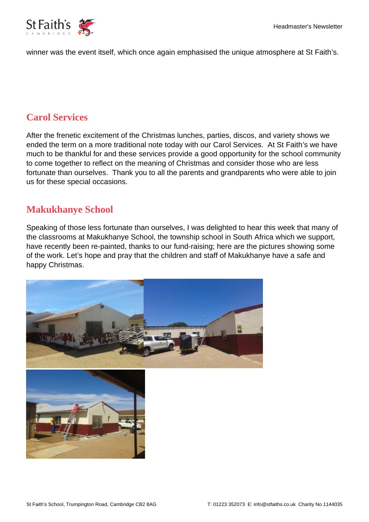

winner was the event itself, which once again emphasised the unique atmosphere at St Faith's.

#### **Carol Services**

After the frenetic excitement of the Christmas lunches, parties, discos, and variety shows we ended the term on a more traditional note today with our Carol Services. At St Faith's we have much to be thankful for and these services provide a good opportunity for the school community to come together to reflect on the meaning of Christmas and consider those who are less fortunate than ourselves. Thank you to all the parents and grandparents who were able to join us for these special occasions.

#### **Makukhanye School**

Speaking of those less fortunate than ourselves, I was delighted to hear this week that many of the classrooms at Makukhanye School, the township school in South Africa which we support, have recently been re-painted, thanks to our fund-raising; here are the pictures showing some of the work. Let's hope and pray that the children and staff of Makukhanye have a safe and happy Christmas.

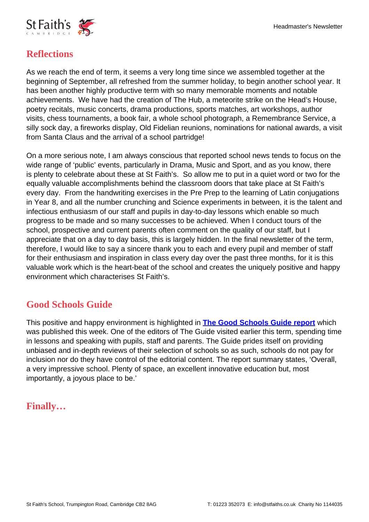

# **Reflections**

As we reach the end of term, it seems a very long time since we assembled together at the beginning of September, all refreshed from the summer holiday, to begin another school year. It has been another highly productive term with so many memorable moments and notable achievements. We have had the creation of The Hub, a meteorite strike on the Head's House, poetry recitals, music concerts, drama productions, sports matches, art workshops, author visits, chess tournaments, a book fair, a whole school photograph, a Remembrance Service, a silly sock day, a fireworks display, Old Fidelian reunions, nominations for national awards, a visit from Santa Claus and the arrival of a school partridge!

On a more serious note, I am always conscious that reported school news tends to focus on the wide range of 'public' events, particularly in Drama, Music and Sport, and as you know, there is plenty to celebrate about these at St Faith's. So allow me to put in a quiet word or two for the equally valuable accomplishments behind the classroom doors that take place at St Faith's every day. From the handwriting exercises in the Pre Prep to the learning of Latin conjugations in Year 8, and all the number crunching and Science experiments in between, it is the talent and infectious enthusiasm of our staff and pupils in day-to-day lessons which enable so much progress to be made and so many successes to be achieved. When I conduct tours of the school, prospective and current parents often comment on the quality of our staff, but I appreciate that on a day to day basis, this is largely hidden. In the final newsletter of the term, therefore, I would like to say a sincere thank you to each and every pupil and member of staff for their enthusiasm and inspiration in class every day over the past three months, for it is this valuable work which is the heart-beat of the school and creates the uniquely positive and happy environment which characterises St Faith's.

# **Good Schools Guide**

This positive and happy environment is highlighted in **[The Good Schools Guide report](https://www.goodschoolsguide.co.uk/schools/156765/st-faith-s/2FDE0B0#sch_tabs-2)** which was published this week. One of the editors of The Guide visited earlier this term, spending time in lessons and speaking with pupils, staff and parents. The Guide prides itself on providing unbiased and in-depth reviews of their selection of schools so as such, schools do not pay for inclusion nor do they have control of the editorial content. The report summary states, 'Overall, a very impressive school. Plenty of space, an excellent innovative education but, most importantly, a joyous place to be.'

#### **Finally…**